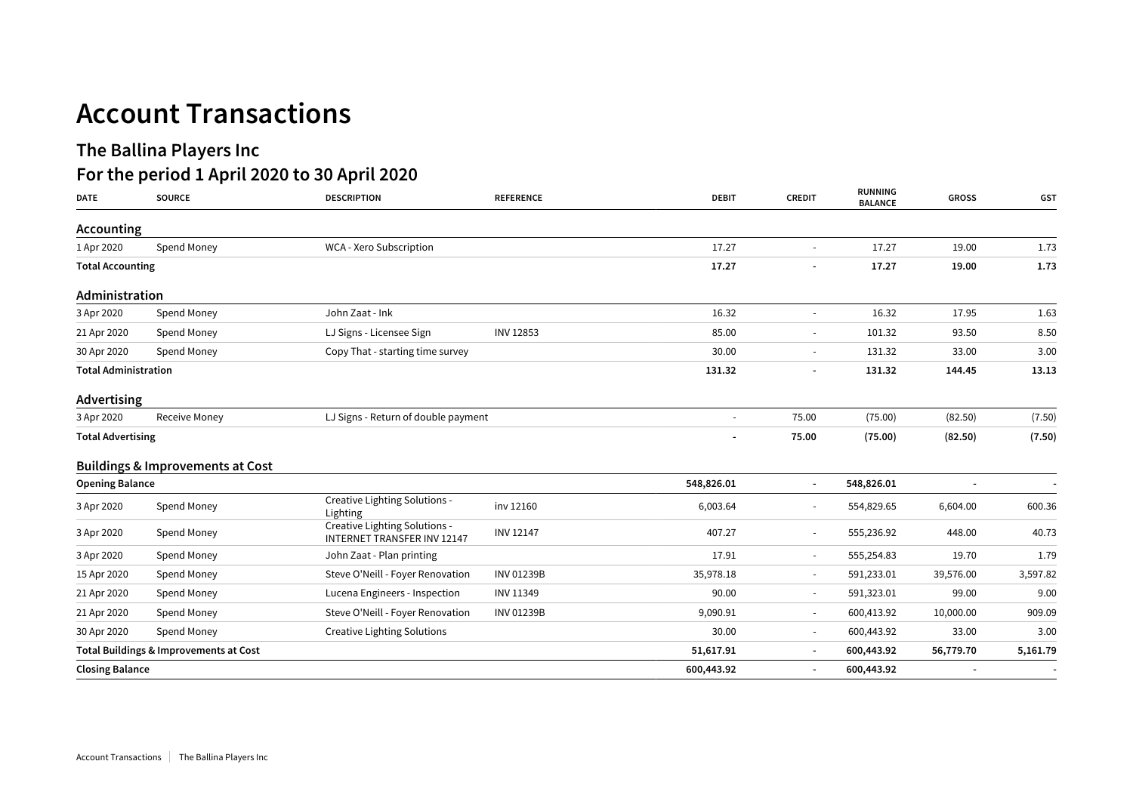## **The Ballina Players Inc**

## **For the period 1 April 2020 to 30 April 2020**

| <b>DATE</b>                 | <b>SOURCE</b>                               | <b>DESCRIPTION</b>                                                  | <b>REFERENCE</b>  | <b>DEBIT</b>   | <b>CREDIT</b>            | <b>RUNNING</b><br><b>BALANCE</b> | <b>GROSS</b>             | <b>GST</b>               |
|-----------------------------|---------------------------------------------|---------------------------------------------------------------------|-------------------|----------------|--------------------------|----------------------------------|--------------------------|--------------------------|
| Accounting                  |                                             |                                                                     |                   |                |                          |                                  |                          |                          |
| 1 Apr 2020                  | Spend Money                                 | WCA - Xero Subscription                                             |                   | 17.27          | $\sim$                   | 17.27                            | 19.00                    | 1.73                     |
| <b>Total Accounting</b>     |                                             |                                                                     |                   | 17.27          |                          | 17.27                            | 19.00                    | 1.73                     |
| Administration              |                                             |                                                                     |                   |                |                          |                                  |                          |                          |
| 3 Apr 2020                  | Spend Money                                 | John Zaat - Ink                                                     |                   | 16.32          | $\sim$                   | 16.32                            | 17.95                    | 1.63                     |
| 21 Apr 2020                 | Spend Money                                 | LJ Signs - Licensee Sign                                            | <b>INV 12853</b>  | 85.00          | $\overline{\phantom{a}}$ | 101.32                           | 93.50                    | 8.50                     |
| 30 Apr 2020                 | Spend Money                                 | Copy That - starting time survey                                    |                   | 30.00          | $\overline{\phantom{a}}$ | 131.32                           | 33.00                    | 3.00                     |
| <b>Total Administration</b> |                                             |                                                                     | 131.32            |                | 131.32                   | 144.45                           | 13.13                    |                          |
| Advertising                 |                                             |                                                                     |                   |                |                          |                                  |                          |                          |
| 3 Apr 2020                  | <b>Receive Money</b>                        | LJ Signs - Return of double payment                                 |                   | $\blacksquare$ | 75.00                    | (75.00)                          | (82.50)                  | (7.50)                   |
| <b>Total Advertising</b>    |                                             |                                                                     |                   |                | 75.00                    | (75.00)                          | (82.50)                  | (7.50)                   |
|                             | <b>Buildings &amp; Improvements at Cost</b> |                                                                     |                   |                |                          |                                  |                          |                          |
| <b>Opening Balance</b>      |                                             |                                                                     |                   | 548,826.01     | $\blacksquare$           | 548,826.01                       | $\overline{\phantom{a}}$ | $\overline{\phantom{a}}$ |
| 3 Apr 2020                  | Spend Money                                 | Creative Lighting Solutions -<br>Lighting                           | inv 12160         | 6,003.64       | $\sim$                   | 554,829.65                       | 6,604.00                 | 600.36                   |
| 3 Apr 2020                  | Spend Money                                 | Creative Lighting Solutions -<br><b>INTERNET TRANSFER INV 12147</b> | <b>INV 12147</b>  | 407.27         | $\sim$                   | 555,236.92                       | 448.00                   | 40.73                    |
| 3 Apr 2020                  | Spend Money                                 | John Zaat - Plan printing                                           |                   | 17.91          | $\sim$                   | 555,254.83                       | 19.70                    | 1.79                     |
| 15 Apr 2020                 | Spend Money                                 | Steve O'Neill - Foyer Renovation                                    | <b>INV 01239B</b> | 35,978.18      | $\overline{\phantom{a}}$ | 591,233.01                       | 39,576.00                | 3,597.82                 |
| 21 Apr 2020                 | Spend Money                                 | Lucena Engineers - Inspection                                       | INV 11349         | 90.00          | $\overline{\phantom{a}}$ | 591,323.01                       | 99.00                    | 9.00                     |
| 21 Apr 2020                 | Spend Money                                 | Steve O'Neill - Foyer Renovation                                    | <b>INV 01239B</b> | 9,090.91       | $\sim$                   | 600,413.92                       | 10,000.00                | 909.09                   |
| 30 Apr 2020                 | Spend Money                                 | <b>Creative Lighting Solutions</b>                                  |                   | 30.00          | $\sim$                   | 600,443.92                       | 33.00                    | 3.00                     |
|                             | Total Buildings & Improvements at Cost      |                                                                     |                   | 51,617.91      | $\sim$                   | 600,443.92                       | 56,779.70                | 5,161.79                 |
|                             | <b>Closing Balance</b>                      |                                                                     |                   | 600,443.92     | $\blacksquare$           | 600,443.92                       |                          |                          |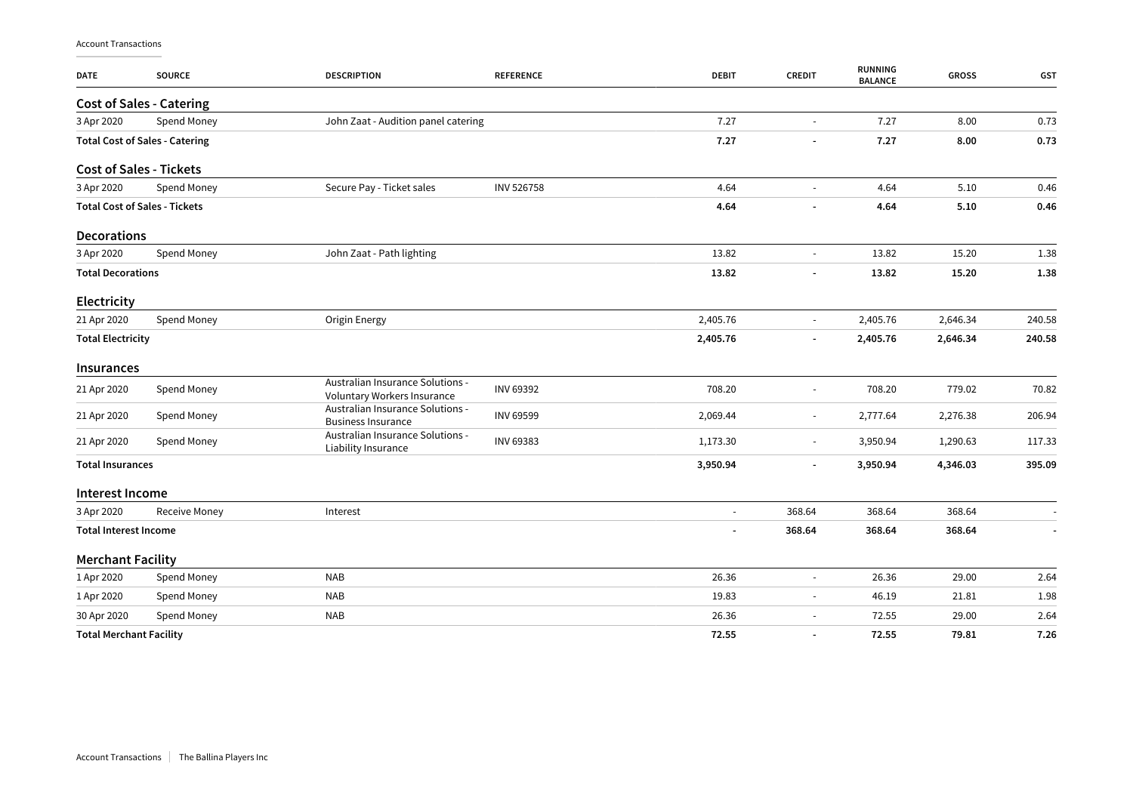| DATE                         | <b>SOURCE</b>                         | <b>DESCRIPTION</b>                                              | <b>REFERENCE</b>         | <b>DEBIT</b>             | <b>CREDIT</b>            | RUNNING<br><b>BALANCE</b> | <b>GROSS</b> | GST    |
|------------------------------|---------------------------------------|-----------------------------------------------------------------|--------------------------|--------------------------|--------------------------|---------------------------|--------------|--------|
|                              | <b>Cost of Sales - Catering</b>       |                                                                 |                          |                          |                          |                           |              |        |
| 3 Apr 2020                   | Spend Money                           | John Zaat - Audition panel catering                             |                          | 7.27                     | $\omega$                 | 7.27                      | 8.00         | 0.73   |
|                              | <b>Total Cost of Sales - Catering</b> |                                                                 |                          | 7.27                     |                          | 7.27                      | 8.00         | 0.73   |
|                              | <b>Cost of Sales - Tickets</b>        |                                                                 |                          |                          |                          |                           |              |        |
| 3 Apr 2020                   | Spend Money                           | Secure Pay - Ticket sales                                       | <b>INV 526758</b>        | 4.64                     | $\blacksquare$           | 4.64                      | 5.10         | 0.46   |
|                              | <b>Total Cost of Sales - Tickets</b>  |                                                                 |                          | 4.64                     | $\overline{\phantom{a}}$ | 4.64                      | 5.10         | 0.46   |
| <b>Decorations</b>           |                                       |                                                                 |                          |                          |                          |                           |              |        |
| 3 Apr 2020                   | Spend Money                           | John Zaat - Path lighting                                       |                          | 13.82                    | $\sim$                   | 13.82                     | 15.20        | 1.38   |
| <b>Total Decorations</b>     |                                       |                                                                 |                          | 13.82                    |                          | 13.82                     | 15.20        | 1.38   |
| Electricity                  |                                       |                                                                 |                          |                          |                          |                           |              |        |
| 21 Apr 2020                  | Spend Money                           | Origin Energy                                                   |                          | 2,405.76                 | $\sim$                   | 2,405.76                  | 2,646.34     | 240.58 |
| <b>Total Electricity</b>     |                                       |                                                                 |                          | 2,405.76                 | $\overline{\phantom{a}}$ | 2,405.76                  | 2,646.34     | 240.58 |
| Insurances                   |                                       |                                                                 |                          |                          |                          |                           |              |        |
| 21 Apr 2020                  | Spend Money                           | Australian Insurance Solutions -<br>Voluntary Workers Insurance | <b>INV 69392</b>         | 708.20                   | $\overline{\phantom{a}}$ | 708.20                    | 779.02       | 70.82  |
| 21 Apr 2020                  | Spend Money                           | Australian Insurance Solutions -<br><b>Business Insurance</b>   | <b>INV 69599</b>         | 2,069.44                 | $\blacksquare$           | 2,777.64                  | 2,276.38     | 206.94 |
| 21 Apr 2020                  | Spend Money                           | Australian Insurance Solutions -<br>Liability Insurance         | INV 69383                | 1,173.30                 | $\blacksquare$           | 3,950.94                  | 1,290.63     | 117.33 |
| <b>Total Insurances</b>      |                                       |                                                                 |                          | 3,950.94                 | $\overline{a}$           | 3,950.94                  | 4,346.03     | 395.09 |
| Interest Income              |                                       |                                                                 |                          |                          |                          |                           |              |        |
| 3 Apr 2020                   | Receive Money                         | Interest                                                        |                          | $\overline{\phantom{a}}$ | 368.64                   | 368.64                    | 368.64       |        |
| <b>Total Interest Income</b> |                                       |                                                                 | $\overline{\phantom{a}}$ | 368.64                   | 368.64                   | 368.64                    |              |        |
| <b>Merchant Facility</b>     |                                       |                                                                 |                          |                          |                          |                           |              |        |
| 1 Apr 2020                   | Spend Money                           | <b>NAB</b>                                                      |                          | 26.36                    | $\omega$                 | 26.36                     | 29.00        | 2.64   |
| 1 Apr 2020                   | Spend Money                           | <b>NAB</b>                                                      |                          | 19.83                    | $\overline{\phantom{a}}$ | 46.19                     | 21.81        | 1.98   |
| 30 Apr 2020                  | Spend Money                           | <b>NAB</b>                                                      |                          | 26.36                    |                          | 72.55                     | 29.00        | 2.64   |
|                              | <b>Total Merchant Facility</b>        |                                                                 |                          | 72.55                    | $\overline{\phantom{a}}$ | 72.55                     | 79.81        | 7.26   |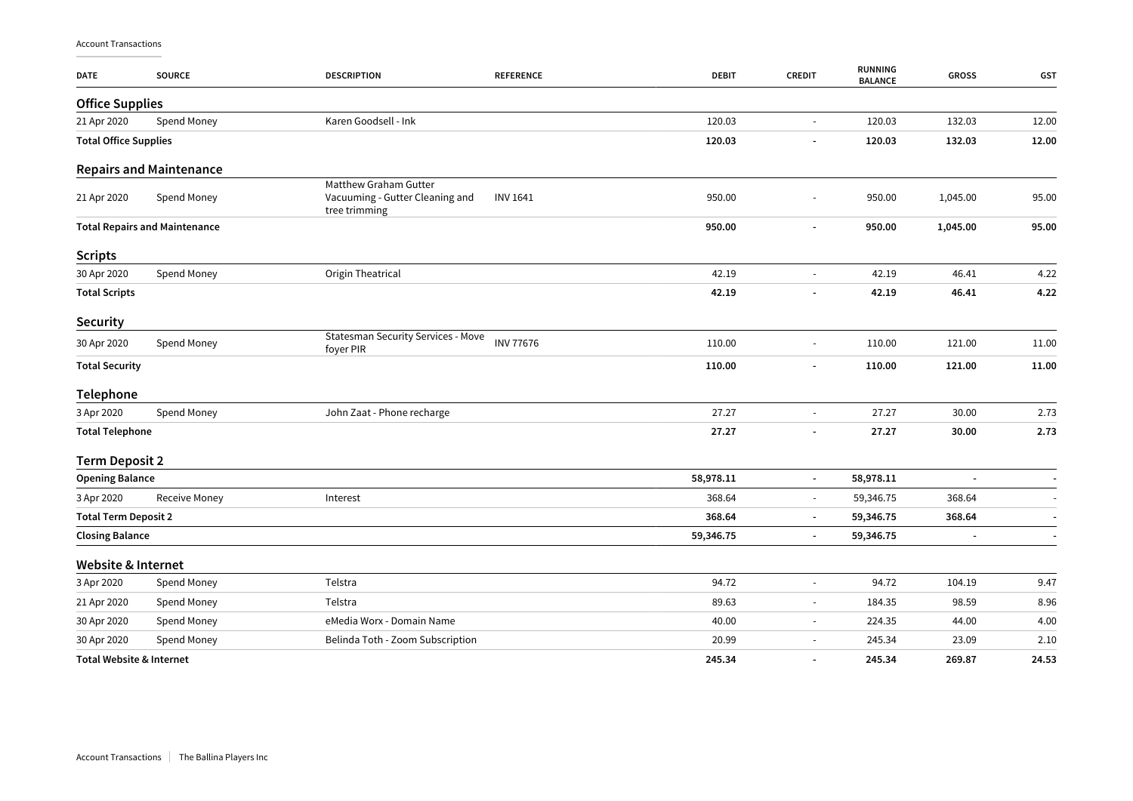| <b>DATE</b>                          | <b>SOURCE</b>                       | <b>DESCRIPTION</b>                                                        | <b>REFERENCE</b>         | <b>DEBIT</b>   | <b>CREDIT</b>            | <b>RUNNING</b><br><b>BALANCE</b> | <b>GROSS</b> | GST   |
|--------------------------------------|-------------------------------------|---------------------------------------------------------------------------|--------------------------|----------------|--------------------------|----------------------------------|--------------|-------|
| <b>Office Supplies</b>               |                                     |                                                                           |                          |                |                          |                                  |              |       |
| 21 Apr 2020                          | Spend Money                         | Karen Goodsell - Ink                                                      |                          | 120.03         | $\blacksquare$           | 120.03                           | 132.03       | 12.00 |
| <b>Total Office Supplies</b>         |                                     |                                                                           |                          | 120.03         | $\blacksquare$           | 120.03                           | 132.03       | 12.00 |
|                                      | <b>Repairs and Maintenance</b>      |                                                                           |                          |                |                          |                                  |              |       |
| 21 Apr 2020                          | Spend Money                         | Matthew Graham Gutter<br>Vacuuming - Gutter Cleaning and<br>tree trimming | <b>INV 1641</b>          | 950.00         | $\overline{\phantom{a}}$ | 950.00                           | 1,045.00     | 95.00 |
| <b>Total Repairs and Maintenance</b> |                                     | 950.00                                                                    | $\overline{\phantom{a}}$ | 950.00         | 1,045.00                 | 95.00                            |              |       |
| <b>Scripts</b>                       |                                     |                                                                           |                          |                |                          |                                  |              |       |
| 30 Apr 2020                          | Spend Money                         | Origin Theatrical                                                         |                          | 42.19          | $\blacksquare$           | 42.19                            | 46.41        | 4.22  |
| <b>Total Scripts</b>                 |                                     |                                                                           |                          | 42.19          | $\blacksquare$           | 42.19                            | 46.41        | 4.22  |
| <b>Security</b>                      |                                     |                                                                           |                          |                |                          |                                  |              |       |
| 30 Apr 2020                          | Spend Money                         | <b>Statesman Security Services - Move</b><br>foyer PIR                    | <b>INV 77676</b>         | 110.00         | $\blacksquare$           | 110.00                           | 121.00       | 11.00 |
| <b>Total Security</b>                |                                     |                                                                           |                          | 110.00         | $\overline{\phantom{a}}$ | 110.00                           | 121.00       | 11.00 |
| Telephone                            |                                     |                                                                           |                          |                |                          |                                  |              |       |
| 3 Apr 2020                           | Spend Money                         | John Zaat - Phone recharge                                                |                          | 27.27          | $\overline{\phantom{a}}$ | 27.27                            | 30.00        | 2.73  |
| <b>Total Telephone</b>               |                                     | 27.27                                                                     | $\overline{\phantom{a}}$ | 27.27          | 30.00                    | 2.73                             |              |       |
| <b>Term Deposit 2</b>                |                                     |                                                                           |                          |                |                          |                                  |              |       |
| <b>Opening Balance</b>               |                                     |                                                                           |                          | 58,978.11      | $\blacksquare$           | 58,978.11                        |              |       |
| 3 Apr 2020                           | <b>Receive Money</b>                | Interest                                                                  |                          | 368.64         | $\overline{\phantom{a}}$ | 59,346.75                        | 368.64       |       |
| <b>Total Term Deposit 2</b>          |                                     |                                                                           |                          | 368.64         | $\blacksquare$           | 59,346.75                        | 368.64       |       |
| <b>Closing Balance</b>               |                                     |                                                                           | 59,346.75                | $\blacksquare$ | 59,346.75                |                                  |              |       |
| <b>Website &amp; Internet</b>        |                                     |                                                                           |                          |                |                          |                                  |              |       |
| 3 Apr 2020                           | Spend Money                         | Telstra                                                                   |                          | 94.72          | $\overline{\phantom{a}}$ | 94.72                            | 104.19       | 9.47  |
| 21 Apr 2020                          | Spend Money                         | Telstra                                                                   |                          | 89.63          | $\overline{\phantom{a}}$ | 184.35                           | 98.59        | 8.96  |
| 30 Apr 2020                          | Spend Money                         | eMedia Worx - Domain Name                                                 |                          | 40.00          | $\overline{\phantom{a}}$ | 224.35                           | 44.00        | 4.00  |
| 30 Apr 2020                          | Spend Money                         | Belinda Toth - Zoom Subscription                                          |                          | 20.99          | $\overline{\phantom{a}}$ | 245.34                           | 23.09        | 2.10  |
|                                      | <b>Total Website &amp; Internet</b> |                                                                           |                          | 245.34         | $\overline{\phantom{a}}$ | 245.34                           | 269.87       | 24.53 |